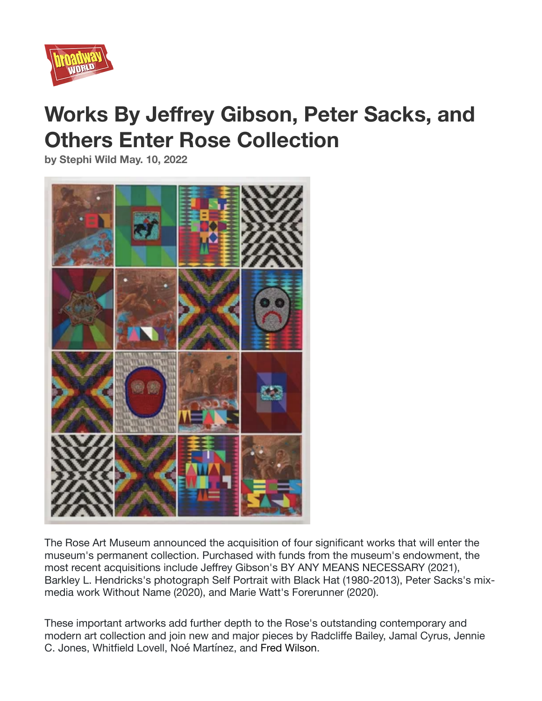

# **Works By Jeffrey Gibson, Peter Sacks, and Others Enter Rose Collection**

**by Stephi Wild May. 10, 2022** 



The Rose Art Museum announced the acquisition of four significant works that will enter the museum's permanent collection. Purchased with funds from the museum's endowment, the most recent acquisitions include Jeffrey Gibson's BY ANY MEANS NECESSARY (2021), Barkley L. Hendricks's photograph Self Portrait with Black Hat (1980-2013), Peter Sacks's mixmedia work Without Name (2020), and Marie Watt's Forerunner (2020).

These important artworks add further depth to the Rose's outstanding contemporary and modern art collection and join new and major pieces by Radcliffe Bailey, Jamal Cyrus, Jennie C. Jones, Whitfield Lovell, Noé Martínez, and Fred Wilson.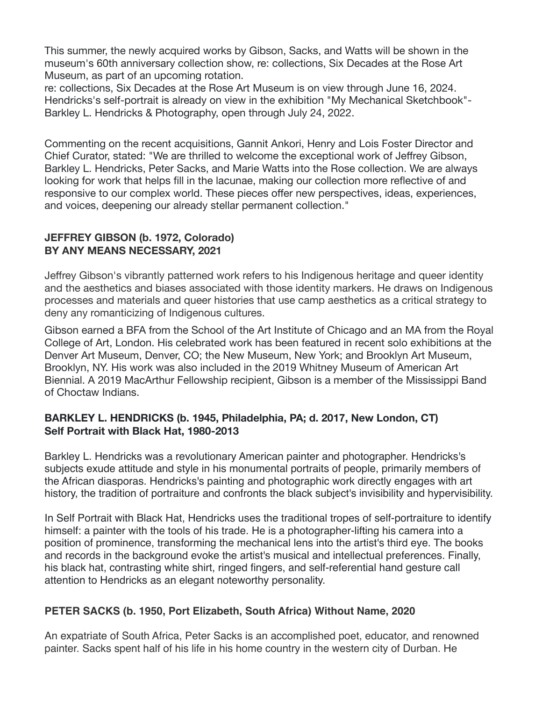This summer, the newly acquired works by Gibson, Sacks, and Watts will be shown in the museum's 60th anniversary collection show, re: collections, Six Decades at the Rose Art Museum, as part of an upcoming rotation.

re: collections, Six Decades at the Rose Art Museum is on view through June 16, 2024. Hendricks's self-portrait is already on view in the exhibition "My Mechanical Sketchbook"- Barkley L. Hendricks & Photography, open through July 24, 2022.

Commenting on the recent acquisitions, Gannit Ankori, Henry and Lois Foster Director and Chief Curator, stated: "We are thrilled to welcome the exceptional work of Jeffrey Gibson, Barkley L. Hendricks, Peter Sacks, and Marie Watts into the Rose collection. We are always looking for work that helps fill in the lacunae, making our collection more reflective of and responsive to our complex world. These pieces offer new perspectives, ideas, experiences, and voices, deepening our already stellar permanent collection."

## **JEFFREY GIBSON (b. 1972, Colorado) BY ANY MEANS NECESSARY, 2021**

Jeffrey Gibson's vibrantly patterned work refers to his Indigenous heritage and queer identity and the aesthetics and biases associated with those identity markers. He draws on Indigenous processes and materials and queer histories that use camp aesthetics as a critical strategy to deny any romanticizing of Indigenous cultures.

Gibson earned a BFA from the School of the Art Institute of Chicago and an MA from the Royal College of Art, London. His celebrated work has been featured in recent solo exhibitions at the Denver Art Museum, Denver, CO; the New Museum, New York; and Brooklyn Art Museum, Brooklyn, NY. His work was also included in the 2019 Whitney Museum of American Art Biennial. A 2019 MacArthur Fellowship recipient, Gibson is a member of the Mississippi Band of Choctaw Indians.

## **BARKLEY L. HENDRICKS (b. 1945, Philadelphia, PA; d. 2017, New London, CT) Self Portrait with Black Hat, 1980-2013**

Barkley L. Hendricks was a revolutionary American painter and photographer. Hendricks's subjects exude attitude and style in his monumental portraits of people, primarily members of the African diasporas. Hendricks's painting and photographic work directly engages with art history, the tradition of portraiture and confronts the black subject's invisibility and hypervisibility.

In Self Portrait with Black Hat, Hendricks uses the traditional tropes of self-portraiture to identify himself: a painter with the tools of his trade. He is a photographer-lifting his camera into a position of prominence, transforming the mechanical lens into the artist's third eye. The books and records in the background evoke the artist's musical and intellectual preferences. Finally, his black hat, contrasting white shirt, ringed fingers, and self-referential hand gesture call attention to Hendricks as an elegant noteworthy personality.

#### **PETER SACKS (b. 1950, Port Elizabeth, South Africa) Without Name, 2020**

An expatriate of South Africa, Peter Sacks is an accomplished poet, educator, and renowned painter. Sacks spent half of his life in his home country in the western city of Durban. He